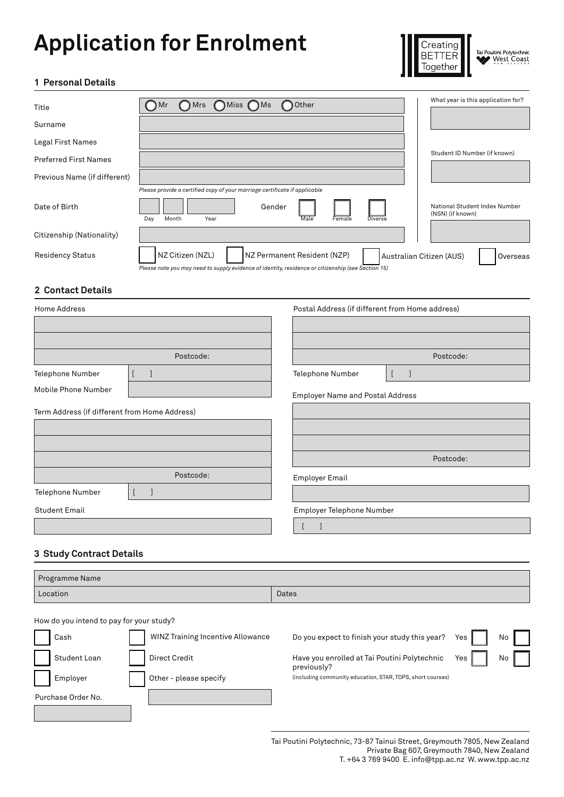# **Application for Enrolment**



# **1 Personal Details**

| Title                        | OMrs OMiss OMs<br>◯ Other<br>) Mr                                                                                                                     | What year is this application for?                |
|------------------------------|-------------------------------------------------------------------------------------------------------------------------------------------------------|---------------------------------------------------|
| Surname                      |                                                                                                                                                       |                                                   |
| Legal First Names            |                                                                                                                                                       |                                                   |
| <b>Preferred First Names</b> |                                                                                                                                                       | Student ID Number (if known)                      |
| Previous Name (if different) |                                                                                                                                                       |                                                   |
|                              | Please provide a certified copy of your marriage certificate if applicable                                                                            |                                                   |
| Date of Birth                | Gender<br>Month<br>Year<br>Male<br><b>Diverse</b><br>Day<br>Female                                                                                    | National Student Index Number<br>(NSN) (if known) |
| Citizenship (Nationality)    |                                                                                                                                                       |                                                   |
| <b>Residency Status</b>      | NZ Citizen (NZL)<br>NZ Permanent Resident (NZP)<br>Please note you may need to supply evidence of identity, residence or citizenship (see Section 15) | Australian Citizen (AUS)<br>Overseas              |

### **2 Contact Details**

| Home Address                                  |           | Postal Address (if different from Home address) |                                  |
|-----------------------------------------------|-----------|-------------------------------------------------|----------------------------------|
|                                               |           |                                                 |                                  |
|                                               |           |                                                 |                                  |
|                                               | Postcode: |                                                 | Postcode:                        |
| Telephone Number                              | $\Box$    | Telephone Number                                | $\lceil$<br>$\blacktriangleleft$ |
| Mobile Phone Number                           |           | <b>Employer Name and Postal Address</b>         |                                  |
| Term Address (if different from Home Address) |           |                                                 |                                  |
|                                               |           |                                                 |                                  |
|                                               |           |                                                 |                                  |
|                                               |           |                                                 | Postcode:                        |
|                                               | Postcode: | <b>Employer Email</b>                           |                                  |
| Telephone Number                              |           |                                                 |                                  |
| <b>Student Email</b>                          |           | Employer Telephone Number                       |                                  |
|                                               |           |                                                 |                                  |
|                                               |           |                                                 |                                  |

# **3 Study Contract Details**

| Programme Name                           |                                          |                                                             |     |    |  |  |  |  |  |
|------------------------------------------|------------------------------------------|-------------------------------------------------------------|-----|----|--|--|--|--|--|
| Location                                 |                                          | Dates                                                       |     |    |  |  |  |  |  |
| How do you intend to pay for your study? |                                          |                                                             |     |    |  |  |  |  |  |
| Cash                                     | <b>WINZ Training Incentive Allowance</b> | Do you expect to finish your study this year?               | Yes | No |  |  |  |  |  |
| Student Loan                             | <b>Direct Credit</b>                     | Have you enrolled at Tai Poutini Polytechnic<br>previously? | Yes | No |  |  |  |  |  |
| Employer                                 | Other - please specify                   | (including community education, STAR, TOPS, short courses)  |     |    |  |  |  |  |  |
| Purchase Order No.                       |                                          |                                                             |     |    |  |  |  |  |  |

Tai Poutini Polytechnic, 73-87 Tainui Street, Greymouth 7805, New Zealand Private Bag 607, Greymouth 7840, New Zealand T. +64 3 769 9400 E. info@tpp.ac.nz W. www.tpp.ac.nz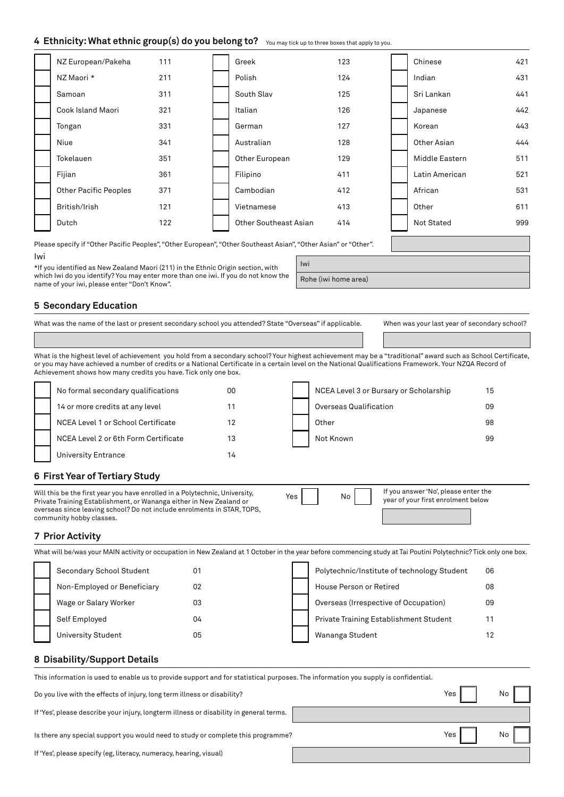#### 4 Ethnicity: What ethnic group(s) do you belong to? You may tick up to three boxes that apply to you.

| NZ European/Pakeha           | 111 | Greek                        | 123 | Chinese        | 421 |
|------------------------------|-----|------------------------------|-----|----------------|-----|
| NZ Maori *                   | 211 | Polish                       | 124 | Indian         | 431 |
| Samoan                       | 311 | South Slav                   | 125 | Sri Lankan     | 441 |
| Cook Island Maori            | 321 | Italian                      | 126 | Japanese       | 442 |
| Tongan                       | 331 | German                       | 127 | Korean         | 443 |
| Niue                         | 341 | Australian                   | 128 | Other Asian    | 444 |
| Tokelauen                    | 351 | Other European               | 129 | Middle Eastern | 511 |
| Fijian                       | 361 | Filipino                     | 411 | Latin American | 521 |
| <b>Other Pacific Peoples</b> | 371 | Cambodian                    | 412 | African        | 531 |
| British/Irish                | 121 | Vietnamese                   | 413 | Other          | 611 |
| Dutch                        | 122 | <b>Other Southeast Asian</b> | 414 | Not Stated     | 999 |

Please specify if "Other Pacific Peoples", "Other European", "Other Southeast Asian", "Other Asian" or "Other". Iwi

\*If you identified as New Zealand Maori (211) in the Ethnic Origin section, with which Iwi do you identify? You may enter more than one iwi. If you do not know the name of your iwi, please enter "Don't Know".

Rohe (iwi home area)

Iwi

# **5 Secondary Education**

| What was the name of the last or present secondary school you attended? State "Overseas" if applicable. |    | When was your last year of secondary school?                                                                                                                                                                                                                                                                            |    |
|---------------------------------------------------------------------------------------------------------|----|-------------------------------------------------------------------------------------------------------------------------------------------------------------------------------------------------------------------------------------------------------------------------------------------------------------------------|----|
|                                                                                                         |    |                                                                                                                                                                                                                                                                                                                         |    |
| Achievement shows how many credits you have. Tick only one box.                                         |    | What is the highest level of achievement you hold from a secondary school? Your highest achievement may be a "traditional" award such as School Certificate,<br>or you may have achieved a number of credits or a National Certificate in a certain level on the National Qualifications Framework. Your NZQA Record of |    |
| No formal secondary qualifications                                                                      | 00 | NCEA Level 3 or Bursary or Scholarship                                                                                                                                                                                                                                                                                  | 15 |
| 14 or more credits at any level                                                                         | 11 | Overseas Qualification                                                                                                                                                                                                                                                                                                  | 09 |
| NCEA Level 1 or School Certificate                                                                      | 12 | Other                                                                                                                                                                                                                                                                                                                   | 98 |
| NCEA Level 2 or 6th Form Certificate                                                                    | 13 | Not Known                                                                                                                                                                                                                                                                                                               | 99 |
| University Entrance                                                                                     | 14 |                                                                                                                                                                                                                                                                                                                         |    |

#### **6 First Year of Tertiary Study**

| Will this be the first year you have enrolled in a Polytechnic, University,<br>Private Training Establishment, or Wananga either in New Zealand or | Yes | <b>No</b> | If you answer 'No', please enter the<br>year of your first enrolment below |
|----------------------------------------------------------------------------------------------------------------------------------------------------|-----|-----------|----------------------------------------------------------------------------|
| overseas since leaving school? Do not include enrolments in STAR, TOPS,                                                                            |     |           |                                                                            |
| community hobby classes.                                                                                                                           |     |           |                                                                            |

#### **7 Prior Activity**

What will be/was your MAIN activity or occupation in New Zealand at 1 October in the year before commencing study at Tai Poutini Polytechnic? Tick only one box.

| Secondary School Student    | 01 | Polytechnic/Institute of technology Student   | 06 |
|-----------------------------|----|-----------------------------------------------|----|
| Non-Employed or Beneficiary | 02 | House Person or Retired                       | 08 |
| Wage or Salary Worker       | 03 | Overseas (Irrespective of Occupation)         | 09 |
| Self Employed               | 04 | <b>Private Training Establishment Student</b> | 11 |
| University Student          | 05 | Wananga Student                               |    |

Yes I I No

Yes | | No

#### **8 Disability/Support Details**

This information is used to enable us to provide support and for statistical purposes. The information you supply is confidential.

Do you live with the effects of injury, long term illness or disability?

If 'Yes', please describe your injury, longterm illness or disability in general terms.

Is there any special support you would need to study or complete this programme?

If 'Yes', please specify (eg, literacy, numeracy, hearing, visual)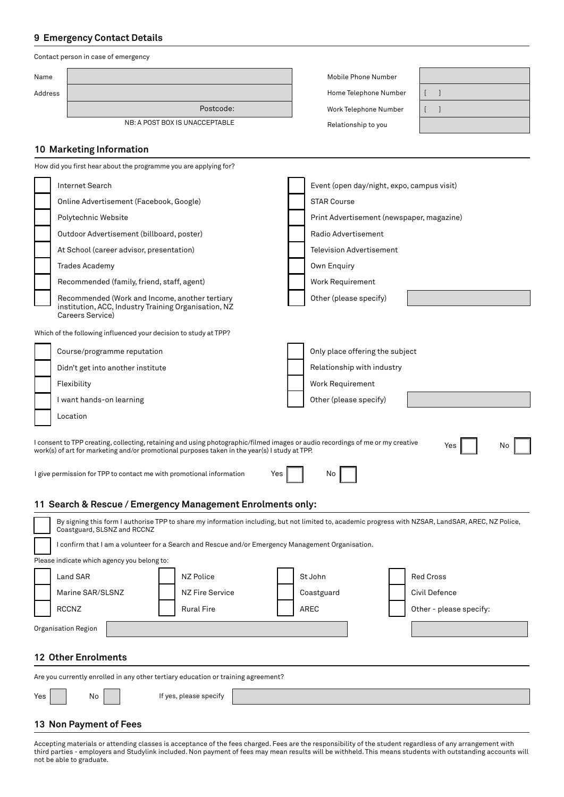# **9 Emergency Contact Details**

|                            | Contact person in case of emergency                                                                                                                                                                                                                                                                     |  |                                |                       |                                 |                                            |  |                                                                                                                                                     |  |  |
|----------------------------|---------------------------------------------------------------------------------------------------------------------------------------------------------------------------------------------------------------------------------------------------------------------------------------------------------|--|--------------------------------|-----------------------|---------------------------------|--------------------------------------------|--|-----------------------------------------------------------------------------------------------------------------------------------------------------|--|--|
| Name                       |                                                                                                                                                                                                                                                                                                         |  |                                | Mobile Phone Number   |                                 |                                            |  |                                                                                                                                                     |  |  |
| Address                    |                                                                                                                                                                                                                                                                                                         |  |                                | Home Telephone Number |                                 | $\begin{bmatrix} 1 & 1 \end{bmatrix}$      |  |                                                                                                                                                     |  |  |
|                            |                                                                                                                                                                                                                                                                                                         |  | Postcode:                      |                       |                                 | Work Telephone Number                      |  | $\begin{bmatrix} 1 & 1 \end{bmatrix}$                                                                                                               |  |  |
|                            |                                                                                                                                                                                                                                                                                                         |  | NB: A POST BOX IS UNACCEPTABLE |                       |                                 | Relationship to you                        |  |                                                                                                                                                     |  |  |
|                            | 10 Marketing Information                                                                                                                                                                                                                                                                                |  |                                |                       |                                 |                                            |  |                                                                                                                                                     |  |  |
|                            | How did you first hear about the programme you are applying for?                                                                                                                                                                                                                                        |  |                                |                       |                                 |                                            |  |                                                                                                                                                     |  |  |
|                            | <b>Internet Search</b>                                                                                                                                                                                                                                                                                  |  |                                |                       |                                 | Event (open day/night, expo, campus visit) |  |                                                                                                                                                     |  |  |
|                            | Online Advertisement (Facebook, Google)                                                                                                                                                                                                                                                                 |  |                                |                       |                                 | <b>STAR Course</b>                         |  |                                                                                                                                                     |  |  |
|                            | Polytechnic Website                                                                                                                                                                                                                                                                                     |  |                                |                       |                                 | Print Advertisement (newspaper, magazine)  |  |                                                                                                                                                     |  |  |
|                            | Outdoor Advertisement (billboard, poster)                                                                                                                                                                                                                                                               |  |                                |                       |                                 | Radio Advertisement                        |  |                                                                                                                                                     |  |  |
|                            | At School (career advisor, presentation)                                                                                                                                                                                                                                                                |  |                                |                       |                                 | <b>Television Advertisement</b>            |  |                                                                                                                                                     |  |  |
|                            | <b>Trades Academy</b>                                                                                                                                                                                                                                                                                   |  |                                |                       |                                 | Own Enquiry                                |  |                                                                                                                                                     |  |  |
|                            | Recommended (family, friend, staff, agent)                                                                                                                                                                                                                                                              |  |                                |                       |                                 | <b>Work Requirement</b>                    |  |                                                                                                                                                     |  |  |
|                            | Recommended (Work and Income, another tertiary<br>institution, ACC, Industry Training Organisation, NZ<br>Careers Service)                                                                                                                                                                              |  |                                |                       |                                 | Other (please specify)                     |  |                                                                                                                                                     |  |  |
|                            | Which of the following influenced your decision to study at TPP?                                                                                                                                                                                                                                        |  |                                |                       |                                 |                                            |  |                                                                                                                                                     |  |  |
|                            | Course/programme reputation                                                                                                                                                                                                                                                                             |  |                                |                       | Only place offering the subject |                                            |  |                                                                                                                                                     |  |  |
|                            | Didn't get into another institute                                                                                                                                                                                                                                                                       |  |                                |                       | Relationship with industry      |                                            |  |                                                                                                                                                     |  |  |
|                            | Flexibility                                                                                                                                                                                                                                                                                             |  |                                |                       |                                 | Work Requirement                           |  |                                                                                                                                                     |  |  |
|                            | I want hands-on learning                                                                                                                                                                                                                                                                                |  |                                |                       |                                 | Other (please specify)                     |  |                                                                                                                                                     |  |  |
|                            | Location                                                                                                                                                                                                                                                                                                |  |                                |                       |                                 |                                            |  |                                                                                                                                                     |  |  |
|                            | I consent to TPP creating, collecting, retaining and using photographic/filmed images or audio recordings of me or my creative<br>work(s) of art for marketing and/or promotional purposes taken in the year(s) I study at TPP.<br>I give permission for TPP to contact me with promotional information |  |                                | Yes                   |                                 | No                                         |  | Yes                                                                                                                                                 |  |  |
|                            |                                                                                                                                                                                                                                                                                                         |  |                                |                       |                                 |                                            |  |                                                                                                                                                     |  |  |
|                            | 11 Search & Rescue / Emergency Management Enrolments only:                                                                                                                                                                                                                                              |  |                                |                       |                                 |                                            |  |                                                                                                                                                     |  |  |
|                            | Coastguard, SLSNZ and RCCNZ                                                                                                                                                                                                                                                                             |  |                                |                       |                                 |                                            |  | By signing this form I authorise TPP to share my information including, but not limited to, academic progress with NZSAR, LandSAR, AREC, NZ Police, |  |  |
|                            | I confirm that I am a volunteer for a Search and Rescue and/or Emergency Management Organisation.                                                                                                                                                                                                       |  |                                |                       |                                 |                                            |  |                                                                                                                                                     |  |  |
|                            | Please indicate which agency you belong to:                                                                                                                                                                                                                                                             |  |                                |                       |                                 |                                            |  |                                                                                                                                                     |  |  |
|                            | Land SAR                                                                                                                                                                                                                                                                                                |  | NZ Police                      |                       |                                 | St John                                    |  | <b>Red Cross</b>                                                                                                                                    |  |  |
|                            | Marine SAR/SLSNZ                                                                                                                                                                                                                                                                                        |  | <b>NZ Fire Service</b>         |                       |                                 | Coastguard                                 |  | Civil Defence                                                                                                                                       |  |  |
|                            | <b>RCCNZ</b>                                                                                                                                                                                                                                                                                            |  | <b>Rural Fire</b>              |                       |                                 | AREC                                       |  | Other - please specify:                                                                                                                             |  |  |
|                            | Organisation Region                                                                                                                                                                                                                                                                                     |  |                                |                       |                                 |                                            |  |                                                                                                                                                     |  |  |
| <b>12 Other Enrolments</b> |                                                                                                                                                                                                                                                                                                         |  |                                |                       |                                 |                                            |  |                                                                                                                                                     |  |  |
|                            | Are you currently enrolled in any other tertiary education or training agreement?                                                                                                                                                                                                                       |  |                                |                       |                                 |                                            |  |                                                                                                                                                     |  |  |
| Yes                        | No                                                                                                                                                                                                                                                                                                      |  | If yes, please specify         |                       |                                 |                                            |  |                                                                                                                                                     |  |  |
|                            |                                                                                                                                                                                                                                                                                                         |  |                                |                       |                                 |                                            |  |                                                                                                                                                     |  |  |

# **13 Non Payment of Fees**

Accepting materials or attending classes is acceptance of the fees charged. Fees are the responsibility of the student regardless of any arrangement with third parties - employers and Studylink included. Non payment of fees may mean results will be withheld. This means students with outstanding accounts will not be able to graduate.